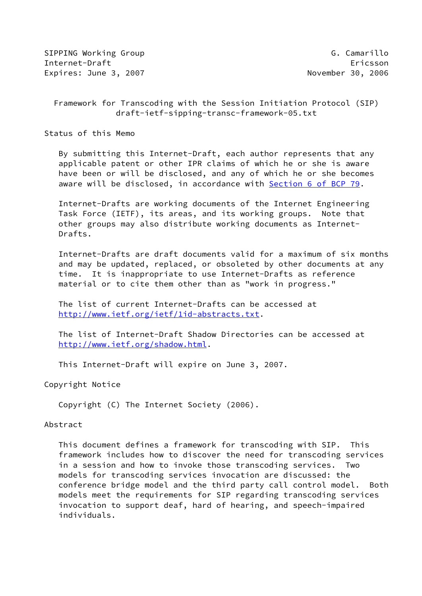SIPPING Working Group G. Camarillo Internet-Draft Ericsson Expires: June 3, 2007 November 30, 2006

# Framework for Transcoding with the Session Initiation Protocol (SIP) draft-ietf-sipping-transc-framework-05.txt

Status of this Memo

 By submitting this Internet-Draft, each author represents that any applicable patent or other IPR claims of which he or she is aware have been or will be disclosed, and any of which he or she becomes aware will be disclosed, in accordance with Section [6 of BCP 79.](https://datatracker.ietf.org/doc/pdf/bcp79#section-6)

 Internet-Drafts are working documents of the Internet Engineering Task Force (IETF), its areas, and its working groups. Note that other groups may also distribute working documents as Internet- Drafts.

 Internet-Drafts are draft documents valid for a maximum of six months and may be updated, replaced, or obsoleted by other documents at any time. It is inappropriate to use Internet-Drafts as reference material or to cite them other than as "work in progress."

 The list of current Internet-Drafts can be accessed at <http://www.ietf.org/ietf/1id-abstracts.txt>.

 The list of Internet-Draft Shadow Directories can be accessed at <http://www.ietf.org/shadow.html>.

This Internet-Draft will expire on June 3, 2007.

Copyright Notice

Copyright (C) The Internet Society (2006).

#### Abstract

 This document defines a framework for transcoding with SIP. This framework includes how to discover the need for transcoding services in a session and how to invoke those transcoding services. Two models for transcoding services invocation are discussed: the conference bridge model and the third party call control model. Both models meet the requirements for SIP regarding transcoding services invocation to support deaf, hard of hearing, and speech-impaired individuals.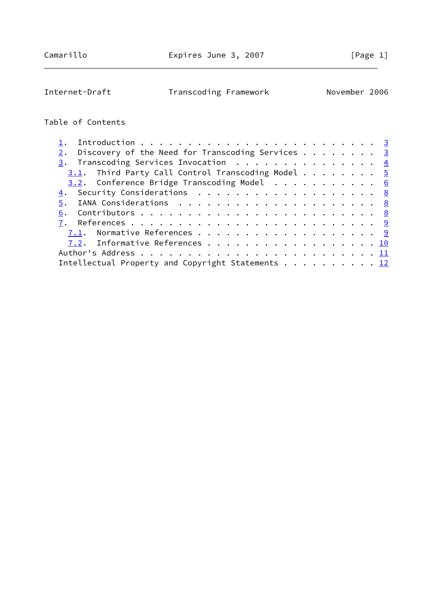Internet-Draft Transcoding Framework November 2006

# Table of Contents

| Discovery of the Need for Transcoding Services $\cdots$ 3 |  |
|-----------------------------------------------------------|--|
| $\frac{3}{2}$ . Transcoding Services Invocation 4         |  |
| $3.1$ . Third Party Call Control Transcoding Model 5      |  |
| $3.2$ . Conference Bridge Transcoding Model 6             |  |
| 4. Security Considerations 8                              |  |
|                                                           |  |
|                                                           |  |
|                                                           |  |
| 7.1. Normative References 9                               |  |
| 7.2. Informative References 10                            |  |
|                                                           |  |
| Intellectual Property and Copyright Statements 12         |  |
|                                                           |  |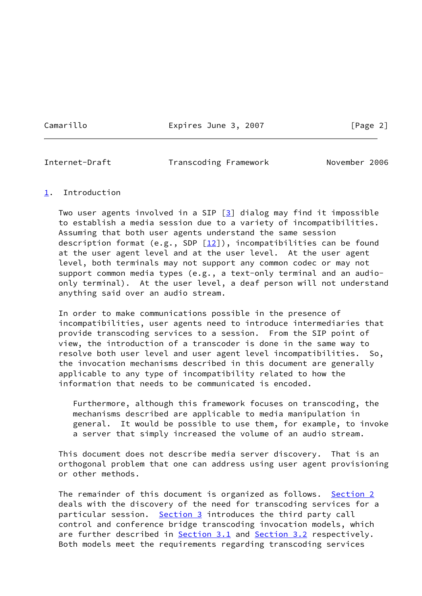Camarillo Expires June 3, 2007 [Page 2]

<span id="page-2-1"></span>

Internet-Draft Transcoding Framework November 2006

#### <span id="page-2-0"></span>[1](#page-2-0). Introduction

Two user agents involved in a SIP  $[3]$  $[3]$  dialog may find it impossible to establish a media session due to a variety of incompatibilities. Assuming that both user agents understand the same session description format (e.g., SDP  $[12]$  $[12]$ ), incompatibilities can be found at the user agent level and at the user level. At the user agent level, both terminals may not support any common codec or may not support common media types (e.g., a text-only terminal and an audio only terminal). At the user level, a deaf person will not understand anything said over an audio stream.

 In order to make communications possible in the presence of incompatibilities, user agents need to introduce intermediaries that provide transcoding services to a session. From the SIP point of view, the introduction of a transcoder is done in the same way to resolve both user level and user agent level incompatibilities. So, the invocation mechanisms described in this document are generally applicable to any type of incompatibility related to how the information that needs to be communicated is encoded.

 Furthermore, although this framework focuses on transcoding, the mechanisms described are applicable to media manipulation in general. It would be possible to use them, for example, to invoke a server that simply increased the volume of an audio stream.

 This document does not describe media server discovery. That is an orthogonal problem that one can address using user agent provisioning or other methods.

 The remainder of this document is organized as follows. [Section 2](#page-3-0) deals with the discovery of the need for transcoding services for a particular session. [Section 3](#page-4-0) introduces the third party call control and conference bridge transcoding invocation models, which are further described in [Section 3.1](#page-4-1) and [Section 3.2](#page-6-0) respectively. Both models meet the requirements regarding transcoding services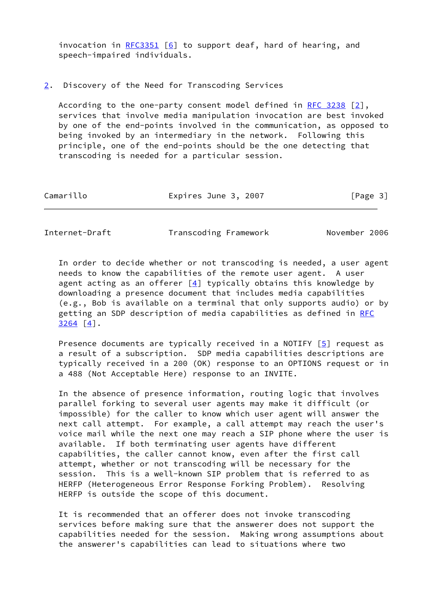invocation in  $RFC3351$  [[6\]](#page-9-4) to support deaf, hard of hearing, and speech-impaired individuals.

#### <span id="page-3-0"></span>[2](#page-3-0). Discovery of the Need for Transcoding Services

 According to the one-party consent model defined in [RFC 3238](https://datatracker.ietf.org/doc/pdf/rfc3238) [\[2\]](#page-9-5), services that involve media manipulation invocation are best invoked by one of the end-points involved in the communication, as opposed to being invoked by an intermediary in the network. Following this principle, one of the end-points should be the one detecting that transcoding is needed for a particular session.

| Camarillo | Expires June 3, 2007 | [Page 3] |
|-----------|----------------------|----------|
|           |                      |          |

<span id="page-3-1"></span>Internet-Draft Transcoding Framework November 2006

 In order to decide whether or not transcoding is needed, a user agent needs to know the capabilities of the remote user agent. A user agent acting as an offerer  $[4]$  $[4]$  typically obtains this knowledge by downloading a presence document that includes media capabilities (e.g., Bob is available on a terminal that only supports audio) or by getting an SDP description of media capabilities as defined in [RFC](https://datatracker.ietf.org/doc/pdf/rfc3264) [3264](https://datatracker.ietf.org/doc/pdf/rfc3264) [\[4\]](#page-9-6).

Presence documents are typically received in a NOTIFY  $[5]$  $[5]$  request as a result of a subscription. SDP media capabilities descriptions are typically received in a 200 (OK) response to an OPTIONS request or in a 488 (Not Acceptable Here) response to an INVITE.

 In the absence of presence information, routing logic that involves parallel forking to several user agents may make it difficult (or impossible) for the caller to know which user agent will answer the next call attempt. For example, a call attempt may reach the user's voice mail while the next one may reach a SIP phone where the user is available. If both terminating user agents have different capabilities, the caller cannot know, even after the first call attempt, whether or not transcoding will be necessary for the session. This is a well-known SIP problem that is referred to as HERFP (Heterogeneous Error Response Forking Problem). Resolving HERFP is outside the scope of this document.

 It is recommended that an offerer does not invoke transcoding services before making sure that the answerer does not support the capabilities needed for the session. Making wrong assumptions about the answerer's capabilities can lead to situations where two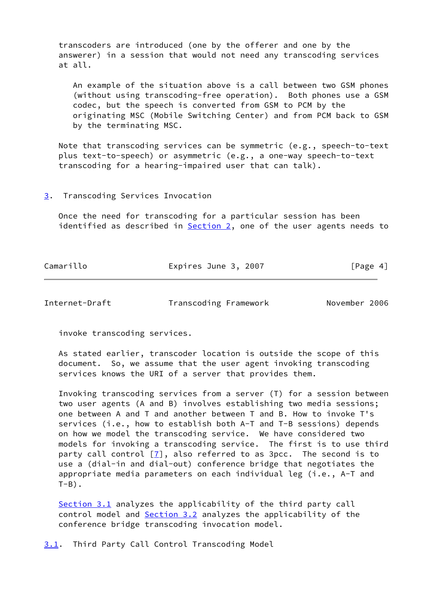transcoders are introduced (one by the offerer and one by the answerer) in a session that would not need any transcoding services at all.

 An example of the situation above is a call between two GSM phones (without using transcoding-free operation). Both phones use a GSM codec, but the speech is converted from GSM to PCM by the originating MSC (Mobile Switching Center) and from PCM back to GSM by the terminating MSC.

 Note that transcoding services can be symmetric (e.g., speech-to-text plus text-to-speech) or asymmetric (e.g., a one-way speech-to-text transcoding for a hearing-impaired user that can talk).

#### <span id="page-4-0"></span>[3](#page-4-0). Transcoding Services Invocation

 Once the need for transcoding for a particular session has been identified as described in [Section 2,](#page-3-0) one of the user agents needs to

| Camarillo | Expires June 3, 2007 | [Page 4] |
|-----------|----------------------|----------|
|           |                      |          |

<span id="page-4-2"></span>Internet-Draft Transcoding Framework November 2006

invoke transcoding services.

 As stated earlier, transcoder location is outside the scope of this document. So, we assume that the user agent invoking transcoding services knows the URI of a server that provides them.

 Invoking transcoding services from a server (T) for a session between two user agents (A and B) involves establishing two media sessions; one between A and T and another between T and B. How to invoke T's services (i.e., how to establish both A-T and T-B sessions) depends on how we model the transcoding service. We have considered two models for invoking a transcoding service. The first is to use third party call control  $[7]$  $[7]$ , also referred to as 3pcc. The second is to use a (dial-in and dial-out) conference bridge that negotiates the appropriate media parameters on each individual leg (i.e., A-T and  $T-B$ ).

 [Section 3.1](#page-4-1) analyzes the applicability of the third party call control model and [Section 3.2](#page-6-0) analyzes the applicability of the conference bridge transcoding invocation model.

<span id="page-4-1"></span>[3.1](#page-4-1). Third Party Call Control Transcoding Model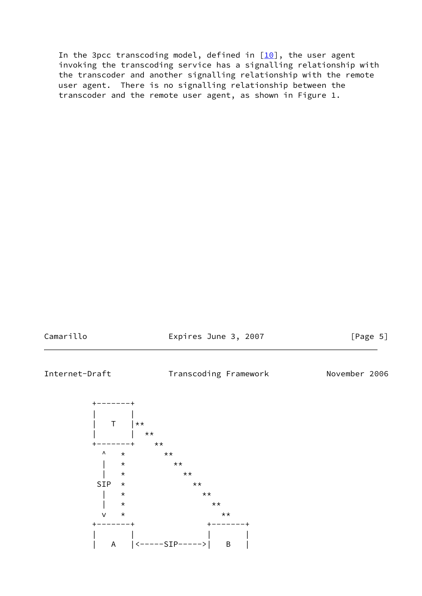In the 3pcc transcoding model, defined in  $[10]$  $[10]$ , the user agent invoking the transcoding service has a signalling relationship with the transcoder and another signalling relationship with the remote user agent. There is no signalling relationship between the transcoder and the remote user agent, as shown in Figure 1.

Camarillo **Expires June 3, 2007** [Page 5]

<span id="page-5-0"></span>Internet-Draft Transcoding Framework November 2006

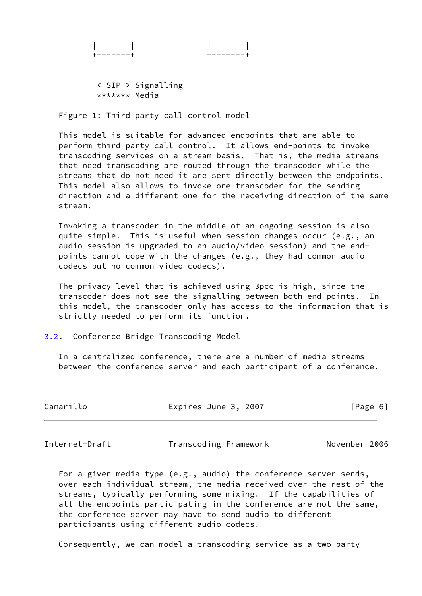<-SIP-> Signalling \*\*\*\*\*\*\* Media

Figure 1: Third party call control model

 This model is suitable for advanced endpoints that are able to perform third party call control. It allows end-points to invoke transcoding services on a stream basis. That is, the media streams that need transcoding are routed through the transcoder while the streams that do not need it are sent directly between the endpoints. This model also allows to invoke one transcoder for the sending direction and a different one for the receiving direction of the same stream.

 Invoking a transcoder in the middle of an ongoing session is also quite simple. This is useful when session changes occur (e.g., an audio session is upgraded to an audio/video session) and the end points cannot cope with the changes (e.g., they had common audio codecs but no common video codecs).

 The privacy level that is achieved using 3pcc is high, since the transcoder does not see the signalling between both end-points. In this model, the transcoder only has access to the information that is strictly needed to perform its function.

<span id="page-6-0"></span>[3.2](#page-6-0). Conference Bridge Transcoding Model

 In a centralized conference, there are a number of media streams between the conference server and each participant of a conference.

| Camarillo | Expires June 3, 2007 |  | [Page 6] |
|-----------|----------------------|--|----------|
|-----------|----------------------|--|----------|

Internet-Draft Transcoding Framework November 2006

 For a given media type (e.g., audio) the conference server sends, over each individual stream, the media received over the rest of the streams, typically performing some mixing. If the capabilities of all the endpoints participating in the conference are not the same, the conference server may have to send audio to different participants using different audio codecs.

Consequently, we can model a transcoding service as a two-party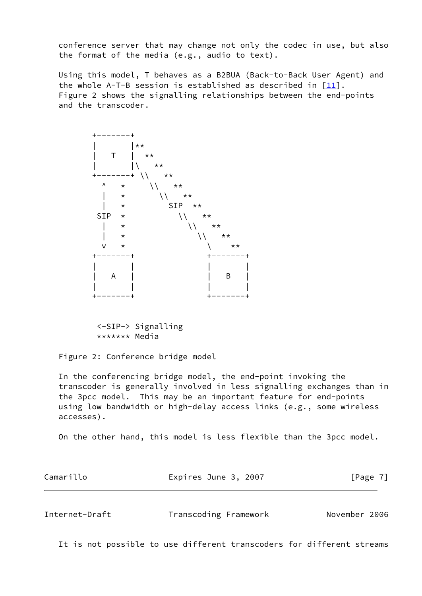conference server that may change not only the codec in use, but also the format of the media (e.g., audio to text).

 Using this model, T behaves as a B2BUA (Back-to-Back User Agent) and the whole A-T-B session is established as described in  $[11]$  $[11]$ . Figure 2 shows the signalling relationships between the end-points and the transcoder.



 <-SIP-> Signalling \*\*\*\*\*\*\* Media

Figure 2: Conference bridge model

 In the conferencing bridge model, the end-point invoking the transcoder is generally involved in less signalling exchanges than in the 3pcc model. This may be an important feature for end-points using low bandwidth or high-delay access links (e.g., some wireless accesses).

On the other hand, this model is less flexible than the 3pcc model.

<span id="page-7-0"></span>

| Camarillo      | Expires June 3, 2007  | [Page 7]      |
|----------------|-----------------------|---------------|
|                |                       |               |
| Internet-Draft | Transcoding Framework | November 2006 |

It is not possible to use different transcoders for different streams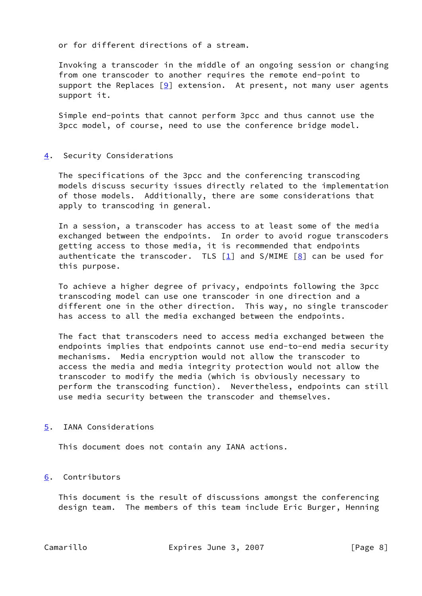or for different directions of a stream.

 Invoking a transcoder in the middle of an ongoing session or changing from one transcoder to another requires the remote end-point to support the Replaces  $[9]$  extension. At present, not many user agents support it.

 Simple end-points that cannot perform 3pcc and thus cannot use the 3pcc model, of course, need to use the conference bridge model.

### <span id="page-8-0"></span>[4](#page-8-0). Security Considerations

 The specifications of the 3pcc and the conferencing transcoding models discuss security issues directly related to the implementation of those models. Additionally, there are some considerations that apply to transcoding in general.

 In a session, a transcoder has access to at least some of the media exchanged between the endpoints. In order to avoid rogue transcoders getting access to those media, it is recommended that endpoints authenticate the transcoder. TLS  $\lceil \frac{1}{2} \rceil$  and S/MIME  $\lceil \frac{8}{2} \rceil$  can be used for this purpose.

 To achieve a higher degree of privacy, endpoints following the 3pcc transcoding model can use one transcoder in one direction and a different one in the other direction. This way, no single transcoder has access to all the media exchanged between the endpoints.

 The fact that transcoders need to access media exchanged between the endpoints implies that endpoints cannot use end-to-end media security mechanisms. Media encryption would not allow the transcoder to access the media and media integrity protection would not allow the transcoder to modify the media (which is obviously necessary to perform the transcoding function). Nevertheless, endpoints can still use media security between the transcoder and themselves.

### <span id="page-8-1"></span>[5](#page-8-1). IANA Considerations

This document does not contain any IANA actions.

### <span id="page-8-2"></span>[6](#page-8-2). Contributors

 This document is the result of discussions amongst the conferencing design team. The members of this team include Eric Burger, Henning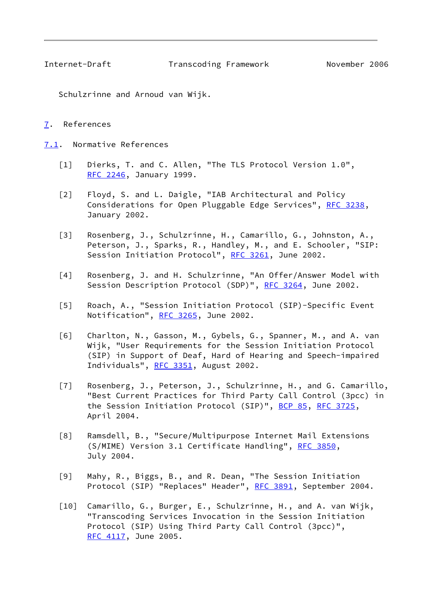<span id="page-9-1"></span>

Internet-Draft Transcoding Framework November 2006

Schulzrinne and Arnoud van Wijk.

# <span id="page-9-0"></span>[7](#page-9-0). References

<span id="page-9-2"></span>[7.1](#page-9-2). Normative References

- <span id="page-9-11"></span>[1] Dierks, T. and C. Allen, "The TLS Protocol Version 1.0", [RFC 2246](https://datatracker.ietf.org/doc/pdf/rfc2246), January 1999.
- <span id="page-9-5"></span> [2] Floyd, S. and L. Daigle, "IAB Architectural and Policy Considerations for Open Pluggable Edge Services", [RFC 3238](https://datatracker.ietf.org/doc/pdf/rfc3238), January 2002.
- <span id="page-9-3"></span> [3] Rosenberg, J., Schulzrinne, H., Camarillo, G., Johnston, A., Peterson, J., Sparks, R., Handley, M., and E. Schooler, "SIP: Session Initiation Protocol", [RFC 3261,](https://datatracker.ietf.org/doc/pdf/rfc3261) June 2002.
- <span id="page-9-6"></span> [4] Rosenberg, J. and H. Schulzrinne, "An Offer/Answer Model with Session Description Protocol (SDP)", [RFC 3264,](https://datatracker.ietf.org/doc/pdf/rfc3264) June 2002.
- <span id="page-9-7"></span> [5] Roach, A., "Session Initiation Protocol (SIP)-Specific Event Notification", [RFC 3265](https://datatracker.ietf.org/doc/pdf/rfc3265), June 2002.
- <span id="page-9-4"></span> [6] Charlton, N., Gasson, M., Gybels, G., Spanner, M., and A. van Wijk, "User Requirements for the Session Initiation Protocol (SIP) in Support of Deaf, Hard of Hearing and Speech-impaired Individuals", [RFC 3351,](https://datatracker.ietf.org/doc/pdf/rfc3351) August 2002.
- <span id="page-9-8"></span> [7] Rosenberg, J., Peterson, J., Schulzrinne, H., and G. Camarillo, "Best Current Practices for Third Party Call Control (3pcc) in the Session Initiation Protocol (SIP)", [BCP 85](https://datatracker.ietf.org/doc/pdf/bcp85), [RFC 3725](https://datatracker.ietf.org/doc/pdf/rfc3725), April 2004.
- <span id="page-9-12"></span> [8] Ramsdell, B., "Secure/Multipurpose Internet Mail Extensions (S/MIME) Version 3.1 Certificate Handling", [RFC 3850](https://datatracker.ietf.org/doc/pdf/rfc3850), July 2004.
- <span id="page-9-10"></span> [9] Mahy, R., Biggs, B., and R. Dean, "The Session Initiation Protocol (SIP) "Replaces" Header", [RFC 3891](https://datatracker.ietf.org/doc/pdf/rfc3891), September 2004.
- <span id="page-9-9"></span> [10] Camarillo, G., Burger, E., Schulzrinne, H., and A. van Wijk, "Transcoding Services Invocation in the Session Initiation Protocol (SIP) Using Third Party Call Control (3pcc)", [RFC 4117](https://datatracker.ietf.org/doc/pdf/rfc4117), June 2005.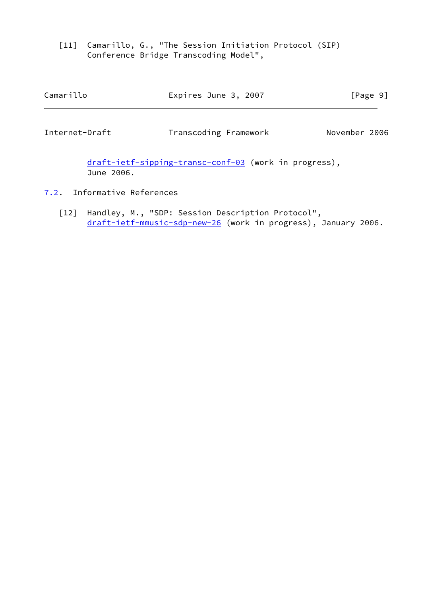<span id="page-10-3"></span> [11] Camarillo, G., "The Session Initiation Protocol (SIP) Conference Bridge Transcoding Model",

<span id="page-10-1"></span>

| Camarillo      | Expires June 3, 2007  | [Page 9]      |
|----------------|-----------------------|---------------|
| Internet-Draft | Transcoding Framework | November 2006 |

 [draft-ietf-sipping-transc-conf-03](https://datatracker.ietf.org/doc/pdf/draft-ietf-sipping-transc-conf-03) (work in progress), June 2006.

- <span id="page-10-2"></span><span id="page-10-0"></span>[7.2](#page-10-0). Informative References
	- [12] Handley, M., "SDP: Session Description Protocol", [draft-ietf-mmusic-sdp-new-26](https://datatracker.ietf.org/doc/pdf/draft-ietf-mmusic-sdp-new-26) (work in progress), January 2006.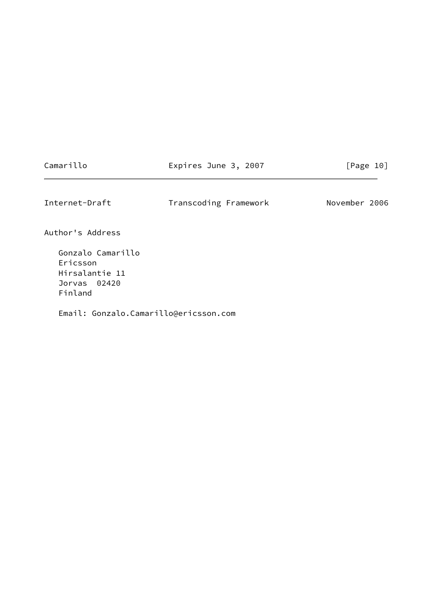<span id="page-11-0"></span>

| Camarillo                                                                  | Expires June 3, 2007  | [Page 10]     |
|----------------------------------------------------------------------------|-----------------------|---------------|
| Internet-Draft                                                             | Transcoding Framework | November 2006 |
| Author's Address                                                           |                       |               |
| Gonzalo Camarillo<br>Ericsson<br>Hirsalantie 11<br>Jorvas 02420<br>Finland |                       |               |
| Email: Gonzalo.Camarillo@ericsson.com                                      |                       |               |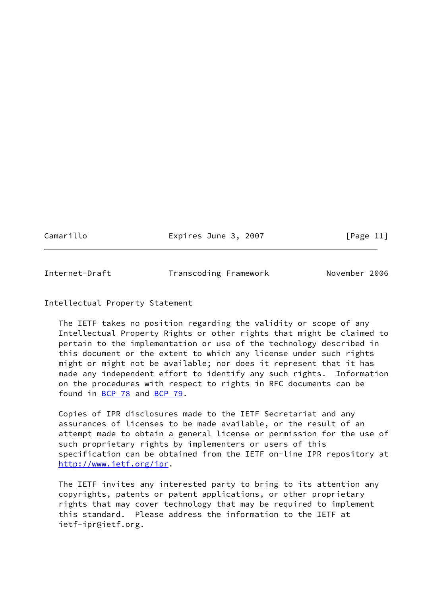Camarillo **Expires June 3, 2007** [Page 11]

<span id="page-12-0"></span>Internet-Draft Transcoding Framework November 2006

## Intellectual Property Statement

 The IETF takes no position regarding the validity or scope of any Intellectual Property Rights or other rights that might be claimed to pertain to the implementation or use of the technology described in this document or the extent to which any license under such rights might or might not be available; nor does it represent that it has made any independent effort to identify any such rights. Information on the procedures with respect to rights in RFC documents can be found in [BCP 78](https://datatracker.ietf.org/doc/pdf/bcp78) and [BCP 79](https://datatracker.ietf.org/doc/pdf/bcp79).

 Copies of IPR disclosures made to the IETF Secretariat and any assurances of licenses to be made available, or the result of an attempt made to obtain a general license or permission for the use of such proprietary rights by implementers or users of this specification can be obtained from the IETF on-line IPR repository at <http://www.ietf.org/ipr>.

 The IETF invites any interested party to bring to its attention any copyrights, patents or patent applications, or other proprietary rights that may cover technology that may be required to implement this standard. Please address the information to the IETF at ietf-ipr@ietf.org.